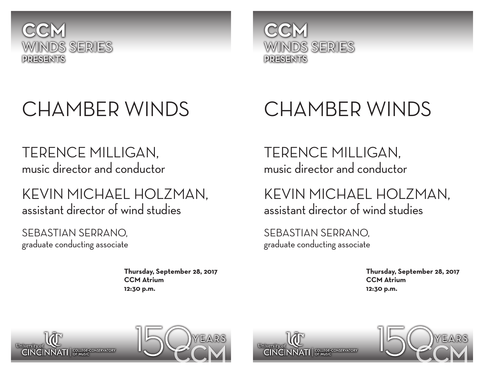



# CHAMBER WINDS

## TERENCE MILLIGAN, music director and conductor

### KEVIN MICHAEL HOLZMAN, assistant director of wind studies

SEBASTIAN SERRANO, graduate conducting associate

> **Thursday, September 28, 2017 CCM Atrium 12:30 p.m.**

# CHAMBER WINDS

TERENCE MILLIGAN, music director and conductor

KEVIN MICHAEL HOLZMAN, assistant director of wind studies

SEBASTIAN SERRANO, graduate conducting associate

> **Thursday, September 28, 2017 CCM Atrium 12:30 p.m.**